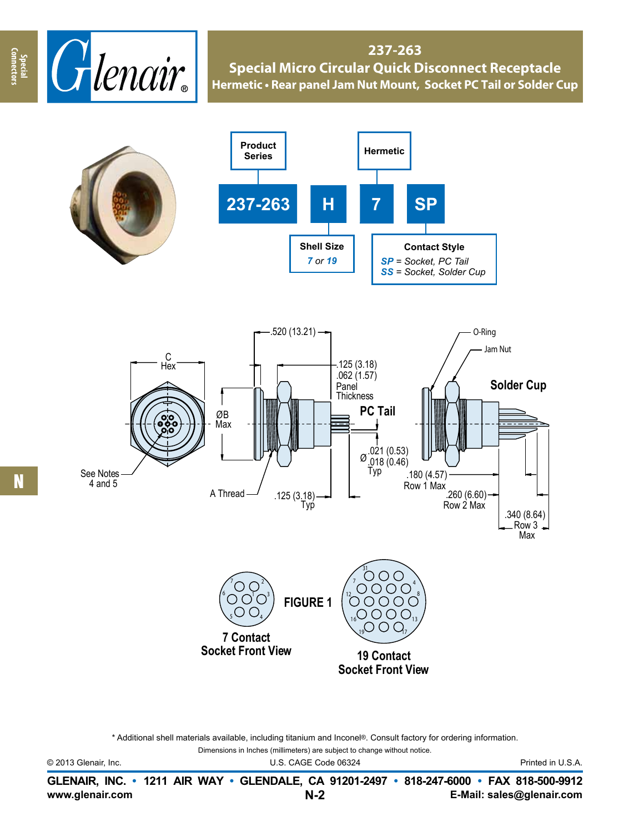

**237-263 Special Micro Circular Quick Disconnect Receptacle Hermetic • Rear panel Jam Nut Mount, Socket PC Tail or Solder Cup**





**Socket Front View**

\* Additional shell materials available, including titanium and Inconel®. Consult factory for ordering information.

Dimensions in Inches (millimeters) are subject to change without notice.

© 2013 Glenair, Inc. U.S. CAGE Code 06324 Printed in U.S.A.

**Connectors**